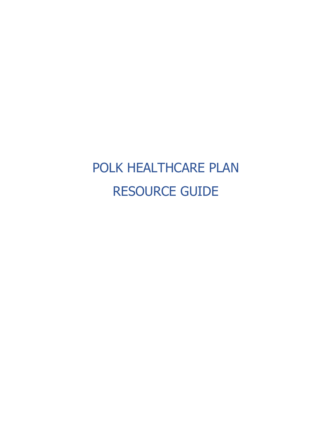# POLK HEALTHCARE PLAN RESOURCE GUIDE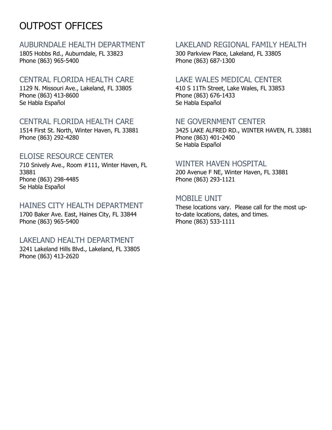# OUTPOST OFFICES

#### AUBURNDALE HEALTH DEPARTMENT

1805 Hobbs Rd., Auburndale, FL 33823 Phone (863) 965-5400

#### CENTRAL FLORIDA HEALTH CARE

1129 N. Missouri Ave., Lakeland, FL 33805 Phone (863) 413-8600 Se Habla Español

### CENTRAL FLORIDA HEALTH CARE

1514 First St. North, Winter Haven, FL 33881 Phone (863) 292-4280

#### ELOISE RESOURCE CENTER

710 Snively Ave., Room #111, Winter Haven, FL 33881 Phone (863) 298-4485 Se Habla Español

### HAINES CITY HEALTH DEPARTMENT

1700 Baker Ave. East, Haines City, FL 33844 Phone (863) 965-5400

#### LAKELAND HEALTH DEPARTMENT

3241 Lakeland Hills Blvd., Lakeland, FL 33805 Phone (863) 413-2620

# LAKELAND REGIONAL FAMILY HEALTH

300 Parkview Place, Lakeland, FL 33805 Phone (863) 687-1300

#### LAKE WALES MEDICAL CENTER

410 S 11Th Street, Lake Wales, FL 33853 Phone (863) 676-1433 Se Habla Español

#### NE GOVERNMENT CENTER

3425 LAKE ALFRED RD., WINTER HAVEN, FL 33881 Phone (863) 401-2400 Se Habla Español

#### WINTER HAVEN HOSPITAL

200 Avenue F NE, Winter Haven, FL 33881 Phone (863) 293-1121

#### MOBILE UNIT

These locations vary. Please call for the most upto-date locations, dates, and times. Phone (863) 533-1111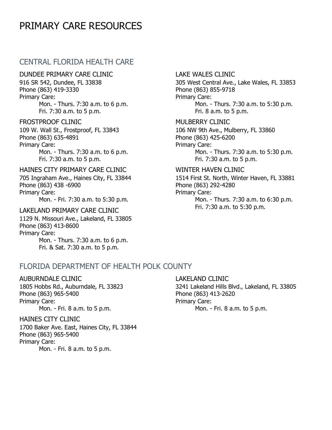# PRIMARY CARE RESOURCES

#### CENTRAL FLORIDA HEALTH CARE

DUNDEE PRIMARY CARE CLINIC

916 SR 542, Dundee, FL 33838 Phone (863) 419-3330 Primary Care: Mon. - Thurs. 7:30 a.m. to 6 p.m. Fri. 7:30 a.m. to 5 p.m.

#### FROSTPROOF CLINIC

109 W. Wall St., Frostproof, FL 33843 Phone (863) 635-4891 Primary Care: Mon. - Thurs. 7:30 a.m. to 6 p.m. Fri. 7:30 a.m. to 5 p.m.

#### HAINES CITY PRIMARY CARE CLINIC

705 Ingraham Ave., Haines City, FL 33844 Phone (863) 438 -6900 Primary Care: Mon. - Fri. 7:30 a.m. to 5:30 p.m.

# LAKELAND PRIMARY CARE CLINIC

1129 N. Missouri Ave., Lakeland, FL 33805 Phone (863) 413-8600 Primary Care: Mon. - Thurs. 7:30 a.m. to 6 p.m. Fri. & Sat. 7:30 a.m. to 5 p.m.

#### LAKE WALES CLINIC

305 West Central Ave., Lake Wales, FL 33853 Phone (863) 855-9718 Primary Care: Mon. - Thurs. 7:30 a.m. to 5:30 p.m. Fri. 8 a.m. to 5 p.m.

#### MULBERRY CLINIC 106 NW 9th Ave., Mulberry, FL 33860

Phone (863) 425-6200 Primary Care: Mon. - Thurs. 7:30 a.m. to 5:30 p.m. Fri. 7:30 a.m. to 5 p.m.

#### WINTER HAVEN CLINIC

1514 First St. North, Winter Haven, FL 33881 Phone (863) 292-4280 Primary Care: Mon. - Thurs. 7:30 a.m. to 6:30 p.m. Fri. 7:30 a.m. to 5:30 p.m.

#### FLORIDA DEPARTMENT OF HEALTH POLK COUNTY

#### AUBURNDALE CLINIC

1805 Hobbs Rd., Auburndale, FL 33823 Phone (863) 965-5400 Primary Care: Mon. - Fri. 8 a.m. to 5 p.m.

#### HAINES CITY CLINIC

1700 Baker Ave. East, Haines City, FL 33844 Phone (863) 965-5400 Primary Care: Mon. - Fri. 8 a.m. to 5 p.m.

#### LAKELAND CLINIC

3241 Lakeland Hills Blvd., Lakeland, FL 33805 Phone (863) 413-2620 Primary Care: Mon. - Fri. 8 a.m. to 5 p.m.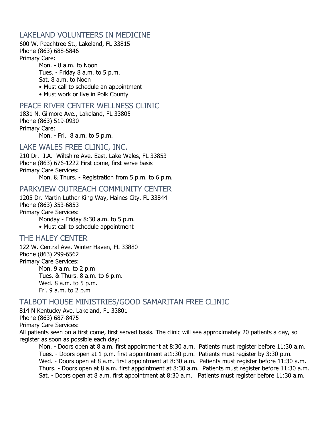#### LAKELAND VOLUNTEERS IN MEDICINE

600 W. Peachtree St., Lakeland, FL 33815 Phone (863) 688-5846 Primary Care:

> Mon. - 8 a.m. to Noon Tues. - Friday 8 a.m. to 5 p.m. Sat. 8 a.m. to Noon • Must call to schedule an appointment

• Must work or live in Polk County

#### PEACE RIVER CENTER WELLNESS CLINIC

1831 N. Gilmore Ave., Lakeland, FL 33805 Phone (863) 519-0930 Primary Care:

Mon. - Fri. 8 a.m. to 5 p.m.

#### LAKE WALES FREE CLINIC, INC.

210 Dr. J.A. Wiltshire Ave. East, Lake Wales, FL 33853 Phone (863) 676-1222 First come, first serve basis Primary Care Services:

Mon. & Thurs. - Registration from 5 p.m. to 6 p.m.

#### PARKVIEW OUTREACH COMMUNITY CENTER

1205 Dr. Martin Luther King Way, Haines City, FL 33844 Phone (863) 353-6853 Primary Care Services:

Monday - Friday 8:30 a.m. to 5 p.m.

• Must call to schedule appointment

#### THE HALEY CENTER

122 W. Central Ave. Winter Haven, FL 33880 Phone (863) 299-6562 Primary Care Services: Mon. 9 a.m. to 2 p.m Tues. & Thurs. 8 a.m. to 6 p.m.

Wed. 8 a.m. to 5 p.m. Fri. 9 a.m. to 2 p.m

#### TALBOT HOUSE MINISTRIES/GOOD SAMARITAN FREE CLINIC

814 N Kentucky Ave. Lakeland, FL 33801 Phone (863) 687-8475 Primary Care Services: All patients seen on a first come, first served basis. The clinic will see approximately 20 patients a day, so register as soon as possible each day:

Mon. - Doors open at 8 a.m. first appointment at 8:30 a.m. Patients must register before 11:30 a.m. Tues. - Doors open at 1 p.m. first appointment at1:30 p.m. Patients must register by 3:30 p.m. Wed. - Doors open at 8 a.m. first appointment at 8:30 a.m. Patients must register before 11:30 a.m. Thurs. - Doors open at 8 a.m. first appointment at 8:30 a.m. Patients must register before 11:30 a.m. Sat. - Doors open at 8 a.m. first appointment at 8:30 a.m. Patients must register before 11:30 a.m.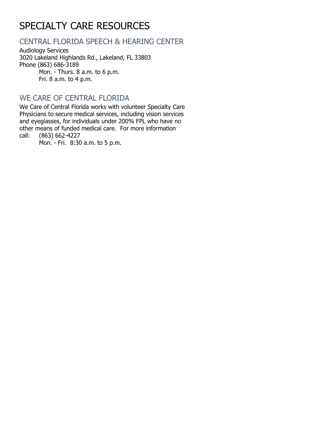# SPECIALTY CARE RESOURCES

# CENTRAL FLORIDA SPEECH & HEARING CENTER

Audiology Services 3020 Lakeland Highlands Rd., Lakeland, FL 33803 Phone (863) 686-3189 Mon. - Thurs. 8 a.m. to 6 p.m.

Fri. 8 a.m. to 4 p.m.

# WE CARE OF CENTRAL FLORIDA

We Care of Central Florida works with volunteer Specialty Care Physicians to secure medical services, including vision services and eyeglasses, for individuals under 200% FPL who have no other means of funded medical care. For more information call: (863) 662-4227

(863) 662-4227 Mon. - Fri. 8:30 a.m. to 5 p.m.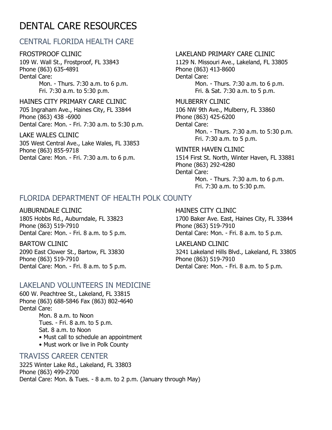# DENTAL CARE RESOURCES

# CENTRAL FLORIDA HEALTH CARE

FROSTPROOF CLINIC 109 W. Wall St., Frostproof, FL 33843 Phone (863) 635-4891 Dental Care: Mon. - Thurs. 7:30 a.m. to 6 p.m. Fri. 7:30 a.m. to 5:30 p.m.

HAINES CITY PRIMARY CARE CLINIC 705 Ingraham Ave., Haines City, FL 33844 Phone (863) 438 -6900 Dental Care: Mon. - Fri. 7:30 a.m. to 5:30 p.m.

LAKE WALES CLINIC 305 West Central Ave., Lake Wales, FL 33853 Phone (863) 855-9718 Dental Care: Mon. - Fri. 7:30 a.m. to 6 p.m.

#### LAKELAND PRIMARY CARE CLINIC

1129 N. Missouri Ave., Lakeland, FL 33805 Phone (863) 413-8600 Dental Care: Mon. - Thurs. 7:30 a.m. to 6 p.m. Fri. & Sat. 7:30 a.m. to 5 p.m.

MULBERRY CLINIC 106 NW 9th Ave., Mulberry, FL 33860 Phone (863) 425-6200 Dental Care: Mon. - Thurs. 7:30 a.m. to 5:30 p.m. Fri. 7:30 a.m. to 5 p.m.

WINTER HAVEN CLINIC 1514 First St. North, Winter Haven, FL 33881 Phone (863) 292-4280 Dental Care: Mon. - Thurs. 7:30 a.m. to 6 p.m. Fri. 7:30 a.m. to 5:30 p.m.

#### FLORIDA DEPARTMENT OF HEALTH POLK COUNTY

#### AUBURNDALE CLINIC

1805 Hobbs Rd., Auburndale, FL 33823 Phone (863) 519-7910 Dental Care: Mon. - Fri. 8 a.m. to 5 p.m.

BARTOW CLINIC 2090 East Clower St., Bartow, FL 33830 Phone (863) 519-7910 Dental Care: Mon. - Fri. 8 a.m. to 5 p.m.

#### LAKELAND VOLUNTEERS IN MEDICINE

600 W. Peachtree St., Lakeland, FL 33815 Phone (863) 688-5846 Fax (863) 802-4640 Dental Care: Mon. 8 a.m. to Noon

> Tues. - Fri. 8 a.m. to 5 p.m. Sat. 8 a.m. to Noon • Must call to schedule an appointment • Must work or live in Polk County

#### TRAVISS CAREER CENTER

3225 Winter Lake Rd., Lakeland, FL 33803 Phone (863) 499-2700 Dental Care: Mon. & Tues. - 8 a.m. to 2 p.m. (January through May)

#### HAINES CITY CLINIC

1700 Baker Ave. East, Haines City, FL 33844 Phone (863) 519-7910 Dental Care: Mon. - Fri. 8 a.m. to 5 p.m.

#### LAKELAND CLINIC

3241 Lakeland Hills Blvd., Lakeland, FL 33805 Phone (863) 519-7910 Dental Care: Mon. - Fri. 8 a.m. to 5 p.m.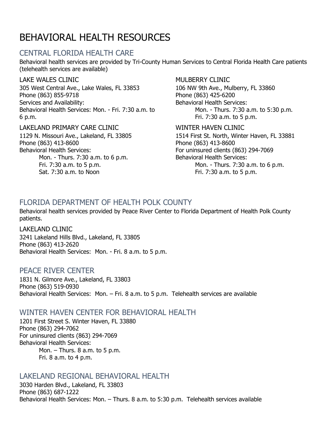# BEHAVIORAL HEALTH RESOURCES

### CENTRAL FLORIDA HEALTH CARE

Behavioral health services are provided by Tri-County Human Services to Central Florida Health Care patients (telehealth services are available)

#### LAKE WALES CLINIC

305 West Central Ave., Lake Wales, FL 33853 Phone (863) 855-9718 Services and Availability: Behavioral Health Services: Mon. - Fri. 7:30 a.m. to 6 p.m.

#### LAKELAND PRIMARY CARE CLINIC

1129 N. Missouri Ave., Lakeland, FL 33805 Phone (863) 413-8600 Behavioral Health Services: Mon. - Thurs. 7:30 a.m. to 6 p.m. Fri. 7:30 a.m. to 5 p.m. Sat. 7:30 a.m. to Noon

#### MULBERRY CLINIC

106 NW 9th Ave., Mulberry, FL 33860 Phone (863) 425-6200 Behavioral Health Services: Mon. - Thurs. 7:30 a.m. to 5:30 p.m. Fri. 7:30 a.m. to 5 p.m.

#### WINTER HAVEN CLINIC

1514 First St. North, Winter Haven, FL 33881 Phone (863) 413-8600 For uninsured clients (863) 294-7069 Behavioral Health Services: Mon. - Thurs. 7:30 a.m. to 6 p.m. Fri. 7:30 a.m. to 5 p.m.

# FLORIDA DEPARTMENT OF HEALTH POLK COUNTY

Behavioral health services provided by Peace River Center to Florida Department of Health Polk County patients.

LAKELAND CLINIC 3241 Lakeland Hills Blvd., Lakeland, FL 33805 Phone (863) 413-2620 Behavioral Health Services: Mon. - Fri. 8 a.m. to 5 p.m.

#### PEACE RIVER CENTER

1831 N. Gilmore Ave., Lakeland, FL 33803 Phone (863) 519-0930 Behavioral Health Services: Mon. – Fri. 8 a.m. to 5 p.m. Telehealth services are available

#### WINTER HAVEN CENTER FOR BEHAVIORAL HEALTH

1201 First Street S. Winter Haven, FL 33880 Phone (863) 294-7062 For uninsured clients (863) 294-7069 Behavioral Health Services: Mon. – Thurs. 8 a.m. to 5 p.m. Fri. 8 a.m. to 4 p.m.

#### LAKELAND REGIONAL BEHAVIORAL HEALTH

3030 Harden Blvd., Lakeland, FL 33803 Phone (863) 687-1222 Behavioral Health Services: Mon. – Thurs. 8 a.m. to 5:30 p.m. Telehealth services available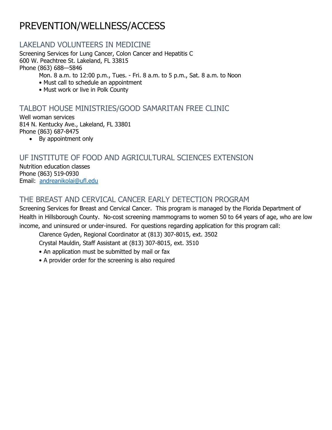# PREVENTION/WELLNESS/ACCESS

### LAKELAND VOLUNTEERS IN MEDICINE

Screening Services for Lung Cancer, Colon Cancer and Hepatitis C 600 W. Peachtree St. Lakeland, FL 33815 Phone (863) 688—5846

Mon. 8 a.m. to 12:00 p.m., Tues. - Fri. 8 a.m. to 5 p.m., Sat. 8 a.m. to Noon

- Must call to schedule an appointment
- Must work or live in Polk County

### TALBOT HOUSE MINISTRIES/GOOD SAMARITAN FREE CLINIC

Well woman services 814 N. Kentucky Ave., Lakeland, FL 33801 Phone (863) 687-8475

• By appointment only

# UF INSTITUTE OF FOOD AND AGRICULTURAL SCIENCES EXTENSION

Nutrition education classes Phone (863) 519-0930 Email: [andreanikolai@ufl.edu](mailto:andreanikolai@ufl.edu)

# THE BREAST AND CERVICAL CANCER EARLY DETECTION PROGRAM

Screening Services for Breast and Cervical Cancer. This program is managed by the Florida Department of Health in Hillsborough County. No-cost screening mammograms to women 50 to 64 years of age, who are low income, and uninsured or under-insured. For questions regarding application for this program call:

Clarence Gyden, Regional Coordinator at (813) 307-8015, ext. 3502

Crystal Mauldin, Staff Assistant at (813) 307-8015, ext. 3510

- An application must be submitted by mail or fax
- A provider order for the screening is also required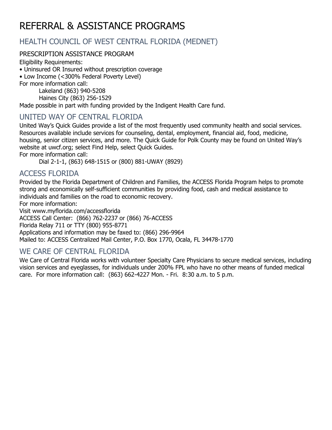# REFERRAL & ASSISTANCE PROGRAMS

# HEALTH COUNCIL OF WEST CENTRAL FLORIDA (MEDNET)

#### PRESCRIPTION ASSISTANCE PROGRAM

Eligibility Requirements:

• Uninsured OR Insured without prescription coverage

• Low Income (<300% Federal Poverty Level)

For more information call:

Lakeland (863) 940-5208 Haines City (863) 256-1529

Made possible in part with funding provided by the Indigent Health Care fund.

# UNITED WAY OF CENTRAL FLORIDA

United Way's Quick Guides provide a list of the most frequently used community health and social services. Resources available include services for counseling, dental, employment, financial aid, food, medicine, housing, senior citizen services, and more. The Quick Guide for Polk County may be found on United Way's website at uwcf.org; select Find Help, select Quick Guides.

For more information call:

Dial 2-1-1, (863) 648-1515 or (800) 881-UWAY (8929)

#### ACCESS FLORIDA

Provided by the Florida Department of Children and Families, the ACCESS Florida Program helps to promote strong and economically self-sufficient communities by providing food, cash and medical assistance to individuals and families on the road to economic recovery.

For more information:

Visit www.myflorida.com/accessflorida

ACCESS Call Center: (866) 762-2237 or (866) 76-ACCESS

Florida Relay 711 or TTY (800) 955-8771

Applications and information may be faxed to: (866) 296-9964

Mailed to: ACCESS Centralized Mail Center, P.O. Box 1770, Ocala, FL 34478-1770

# WE CARE OF CENTRAL FLORIDA

We Care of Central Florida works with volunteer Specialty Care Physicians to secure medical services, including vision services and eyeglasses, for individuals under 200% FPL who have no other means of funded medical care. For more information call: (863) 662-4227 Mon. - Fri. 8:30 a.m. to 5 p.m.